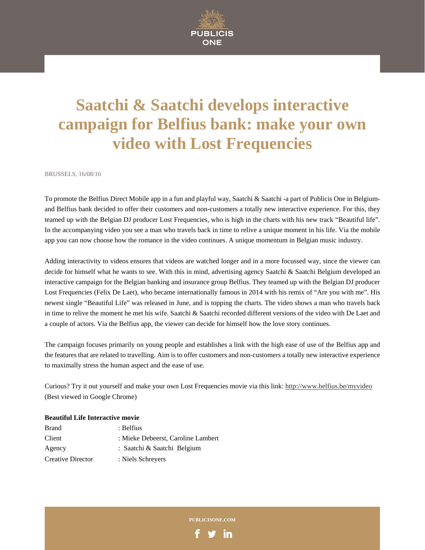

## **Saatchi & Saatchi develops interactive campaign for Belfius bank: make your own video with Lost Frequencies**

BRUSSELS, 16/08/16

To promote the Belfius Direct Mobile app in a fun and playful way, Saatchi & Saatchi -a part of Publicis One in Belgiumand Belfius bank decided to offer their customers and non-customers a totally new interactive experience. For this, they teamed up with the Belgian DJ producer Lost Frequencies, who is high in the charts with his new track "Beautiful life". In the accompanying video you see a man who travels back in time to relive a unique moment in his life. Via the mobile app you can now choose how the romance in the video continues. A unique momentum in Belgian music industry.

Adding interactivity to videos ensures that videos are watched longer and in a more focussed way, since the viewer can decide for himself what he wants to see. With this in mind, advertising agency Saatchi & Saatchi Belgium developed an interactive campaign for the Belgian banking and insurance group Belfius. They teamed up with the Belgian DJ producer Lost Frequencies (Felix De Laet), who became internationally famous in 2014 with his remix of "Are you with me". His newest single "Beautiful Life" was released in June, and is topping the charts. The video shows a man who travels back in time to relive the moment he met his wife. Saatchi & Saatchi recorded different versions of the video with De Laet and a couple of actors. Via the Belfius app, the viewer can decide for himself how the love story continues.

The campaign focuses primarily on young people and establishes a link with the high ease of use of the Belfius app and the features that are related to travelling. Aim is to offer customers and non-customers a totally new interactive experience to maximally stress the human aspect and the ease of use.

Curious? Try it out yourself and make your own Lost Frequencies movie via this link: http://www.belfius.be/myvideo (Best viewed in Google Chrome)

## **Beautiful Life Interactive movie**

| Brand             | : Belfius                          |
|-------------------|------------------------------------|
| Client            | : Mieke Debeerst, Caroline Lambert |
| Agency            | : Saatchi & Saatchi Belgium        |
| Creative Director | : Niels Schreyers                  |

**PUBLICISONE.COM**